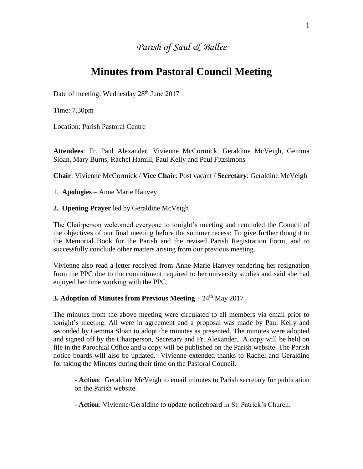## *Parish of Saul & Ballee*

# **Minutes from Pastoral Council Meeting**

Date of meeting: Wednesday 28<sup>th</sup> June 2017

Time: 7.30pm

Location: Parish Pastoral Centre

**Attendees**: Fr. Paul Alexander, Vivienne McCormick, Geraldine McVeigh, Gemma Sloan, Mary Burns, Rachel Hamill, Paul Kelly and Paul Fitzsimons

**Chair**: Vivienne McCormick / **Vice Chair**: Post vacant / **Secretary**: Geraldine McVeigh

1. **Apologies** – Anne Marie Hanvey

#### **2. Opening Prayer** led by Geraldine McVeigh

The Chairperson welcomed everyone to tonight's meeting and reminded the Council of the objectives of our final meeting before the summer recess: To give further thought to the Memorial Book for the Parish and the revised Parish Registration Form, and to successfully conclude other matters arising from our previous meeting.

Vivienne also read a letter received from Anne-Marie Hanvey tendering her resignation from the PPC due to the commitment required to her university studies and said she had enjoyed her time working with the PPC.

## **3. Adoption of Minutes from Previous Meeting** – 24<sup>th</sup> May 2017

The minutes from the above meeting were circulated to all members via email prior to tonight's meeting. All were in agreement and a proposal was made by Paul Kelly and seconded by Gemma Sloan to adopt the minutes as presented. The minutes were adopted and signed off by the Chairperson, Secretary and Fr. Alexander. A copy will be held on file in the Parochial Office and a copy will be published on the Parish website. The Parish notice boards will also be updated. Vivienne extended thanks to Rachel and Geraldine for taking the Minutes during their time on the Pastoral Council.

**- Action**: Geraldine McVeigh to email minutes to Parish secretary for publication on the Parish website.

- **Action**: Vivienne/Geraldine to update noticeboard in St. Patrick's Church.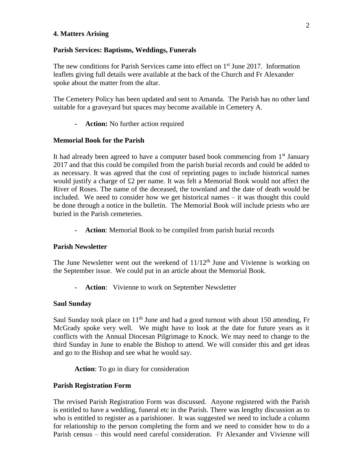#### **4. Matters Arising**

#### **Parish Services: Baptisms, Weddings, Funerals**

The new conditions for Parish Services came into effect on  $1<sup>st</sup>$  June 2017. Information leaflets giving full details were available at the back of the Church and Fr Alexander spoke about the matter from the altar.

The Cemetery Policy has been updated and sent to Amanda. The Parish has no other land suitable for a graveyard but spaces may become available in Cemetery A.

**- Action:** No further action required

#### **Memorial Book for the Parish**

It had already been agreed to have a computer based book commencing from  $1<sup>st</sup>$  January 2017 and that this could be compiled from the parish burial records and could be added to as necessary. It was agreed that the cost of reprinting pages to include historical names would justify a charge of £2 per name. It was felt a Memorial Book would not affect the River of Roses. The name of the deceased, the townland and the date of death would be included. We need to consider how we get historical names – it was thought this could be done through a notice in the bulletin. The Memorial Book will include priests who are buried in the Parish cemeteries.

**- Action**: Memorial Book to be compiled from parish burial records

#### **Parish Newsletter**

The June Newsletter went out the weekend of  $11/12<sup>th</sup>$  June and Vivienne is working on the September issue. We could put in an article about the Memorial Book.

**- Action**: Vivienne to work on September Newsletter

#### **Saul Sunday**

Saul Sunday took place on  $11<sup>th</sup>$  June and had a good turnout with about 150 attending, Fr McGrady spoke very well. We might have to look at the date for future years as it conflicts with the Annual Diocesan Pilgrimage to Knock. We may need to change to the third Sunday in June to enable the Bishop to attend. We will consider this and get ideas and go to the Bishop and see what he would say.

**Action**: To go in diary for consideration

#### **Parish Registration Form**

The revised Parish Registration Form was discussed. Anyone registered with the Parish is entitled to have a wedding, funeral etc in the Parish. There was lengthy discussion as to who is entitled to register as a parishioner. It was suggested we need to include a column for relationship to the person completing the form and we need to consider how to do a Parish census – this would need careful consideration. Fr Alexander and Vivienne will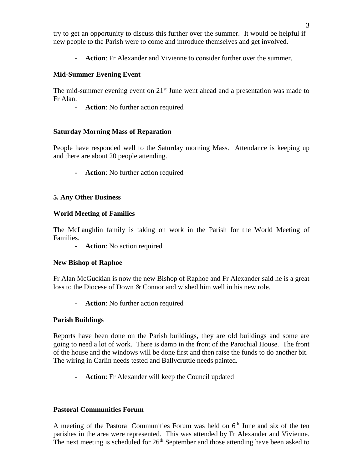try to get an opportunity to discuss this further over the summer. It would be helpful if new people to the Parish were to come and introduce themselves and get involved.

**- Action**: Fr Alexander and Vivienne to consider further over the summer.

## **Mid-Summer Evening Event**

The mid-summer evening event on  $21<sup>st</sup>$  June went ahead and a presentation was made to Fr Alan.

**- Action**: No further action required

## **Saturday Morning Mass of Reparation**

People have responded well to the Saturday morning Mass. Attendance is keeping up and there are about 20 people attending.

**- Action**: No further action required

## **5. Any Other Business**

## **World Meeting of Families**

The McLaughlin family is taking on work in the Parish for the World Meeting of Families.

**- Action**: No action required

## **New Bishop of Raphoe**

Fr Alan McGuckian is now the new Bishop of Raphoe and Fr Alexander said he is a great loss to the Diocese of Down & Connor and wished him well in his new role.

**- Action**: No further action required

## **Parish Buildings**

Reports have been done on the Parish buildings, they are old buildings and some are going to need a lot of work. There is damp in the front of the Parochial House. The front of the house and the windows will be done first and then raise the funds to do another bit. The wiring in Carlin needs tested and Ballycruttle needs painted.

**- Action**: Fr Alexander will keep the Council updated

## **Pastoral Communities Forum**

A meeting of the Pastoral Communities Forum was held on  $6<sup>th</sup>$  June and six of the ten parishes in the area were represented. This was attended by Fr Alexander and Vivienne. The next meeting is scheduled for  $26<sup>th</sup>$  September and those attending have been asked to